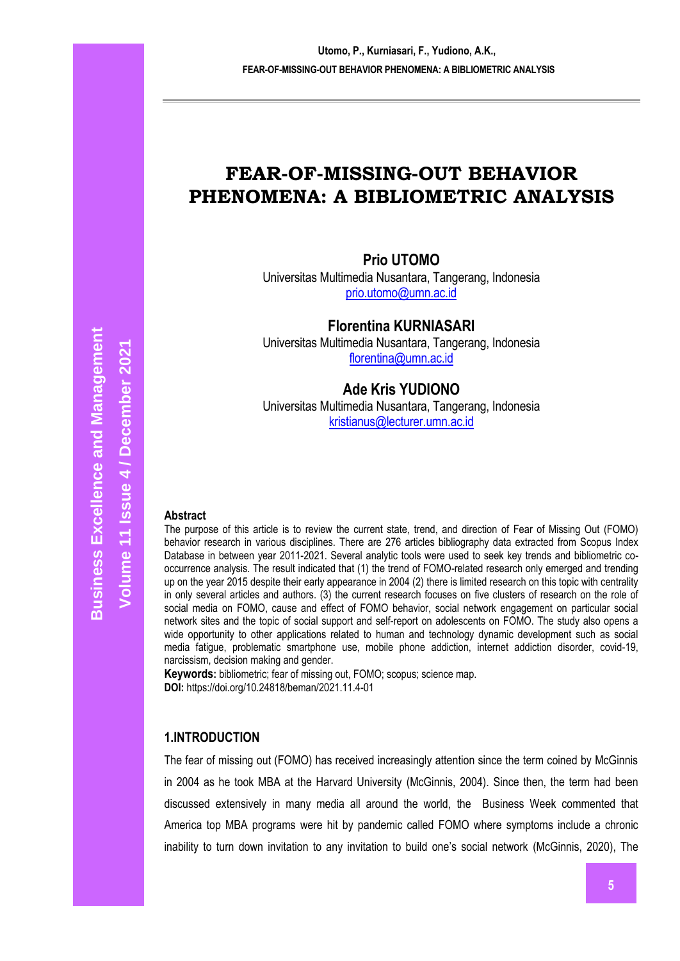## **FEAR-OF-MISSING-OUT BEHAVIOR PHENOMENA: A BIBLIOMETRIC ANALYSIS**

## **Prio UTOMO**

Universitas Multimedia Nusantara, Tangerang, Indonesia [prio.utomo@umn.ac.id](mailto:prio.utomo@umn.ac.id)

**Florentina KURNIASARI**

Universitas Multimedia Nusantara, Tangerang, Indonesia [florentina@umn.ac.id](mailto:florentina@umn.ac.id)

## **Ade Kris YUDIONO**

Universitas Multimedia Nusantara, Tangerang, Indonesia [kristianus@lecturer.umn.ac.id](mailto:kristianus@lecturer.umn.ac.id)

# **Business Excellence and Management Business Excellence and Management / December 2021** Volume 11 Issue 4 / December 2021 **Volume 11 Issue**

#### **Abstract**

The purpose of this article is to review the current state, trend, and direction of Fear of Missing Out (FOMO) behavior research in various disciplines. There are 276 articles bibliography data extracted from Scopus Index Database in between year 2011-2021. Several analytic tools were used to seek key trends and bibliometric cooccurrence analysis. The result indicated that (1) the trend of FOMO-related research only emerged and trending up on the year 2015 despite their early appearance in 2004 (2) there is limited research on this topic with centrality in only several articles and authors. (3) the current research focuses on five clusters of research on the role of social media on FOMO, cause and effect of FOMO behavior, social network engagement on particular social network sites and the topic of social support and self-report on adolescents on FOMO. The study also opens a wide opportunity to other applications related to human and technology dynamic development such as social media fatigue, problematic smartphone use, mobile phone addiction, internet addiction disorder, covid-19, narcissism, decision making and gender.

**Keywords:** bibliometric; fear of missing out, FOMO; scopus; science map. **DOI:** https://doi.org/10.24818/beman/2021.11.4-01

## **1.INTRODUCTION**

The fear of missing out (FOMO) has received increasingly attention since the term coined by McGinnis in 2004 as he took MBA at the Harvard University (McGinnis, 2004). Since then, the term had been discussed extensively in many media all around the world, the Business Week commented that America top MBA programs were hit by pandemic called FOMO where symptoms include a chronic inability to turn down invitation to any invitation to build one's social network (McGinnis, 2020), The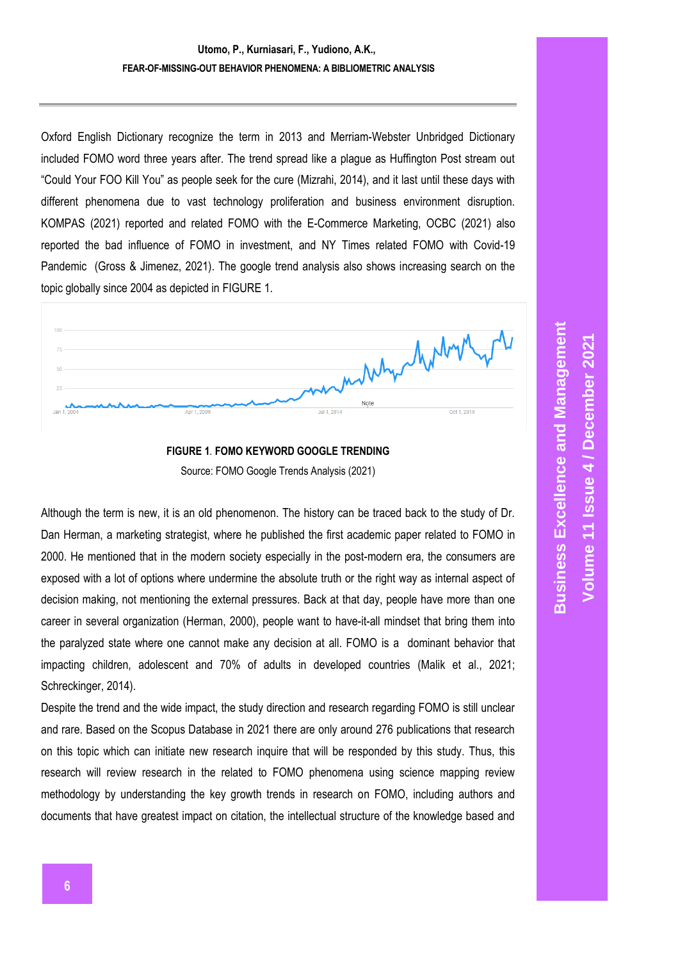Oxford English Dictionary recognize the term in 2013 and Merriam-Webster Unbridged Dictionary included FOMO word three years after. The trend spread like a plague as Huffington Post stream out "Could Your FOO Kill You" as people seek for the cure (Mizrahi, 2014), and it last until these days with different phenomena due to vast technology proliferation and business environment disruption. KOMPAS (2021) reported and related FOMO with the E-Commerce Marketing, OCBC (2021) also reported the bad influence of FOMO in investment, and NY Times related FOMO with Covid-19 Pandemic (Gross & Jimenez, 2021). The google trend analysis also shows increasing search on the topic globally since 2004 as depicted in [FIGURE](#page-1-0) 1.



**FIGURE 1***.* **FOMO KEYWORD GOOGLE TRENDING** Source: FOMO Google Trends Analysis (2021)

<span id="page-1-0"></span>Although the term is new, it is an old phenomenon. The history can be traced back to the study of Dr. Dan Herman, a marketing strategist, where he published the first academic paper related to FOMO in 2000. He mentioned that in the modern society especially in the post-modern era, the consumers are exposed with a lot of options where undermine the absolute truth or the right way as internal aspect of decision making, not mentioning the external pressures. Back at that day, people have more than one career in several organization (Herman, 2000), people want to have-it-all mindset that bring them into the paralyzed state where one cannot make any decision at all. FOMO is a dominant behavior that impacting children, adolescent and 70% of adults in developed countries (Malik et al., 2021; Schreckinger, 2014).

Despite the trend and the wide impact, the study direction and research regarding FOMO is still unclear and rare. Based on the Scopus Database in 2021 there are only around 276 publications that research on this topic which can initiate new research inquire that will be responded by this study. Thus, this research will review research in the related to FOMO phenomena using science mapping review methodology by understanding the key growth trends in research on FOMO, including authors and documents that have greatest impact on citation, the intellectual structure of the knowledge based and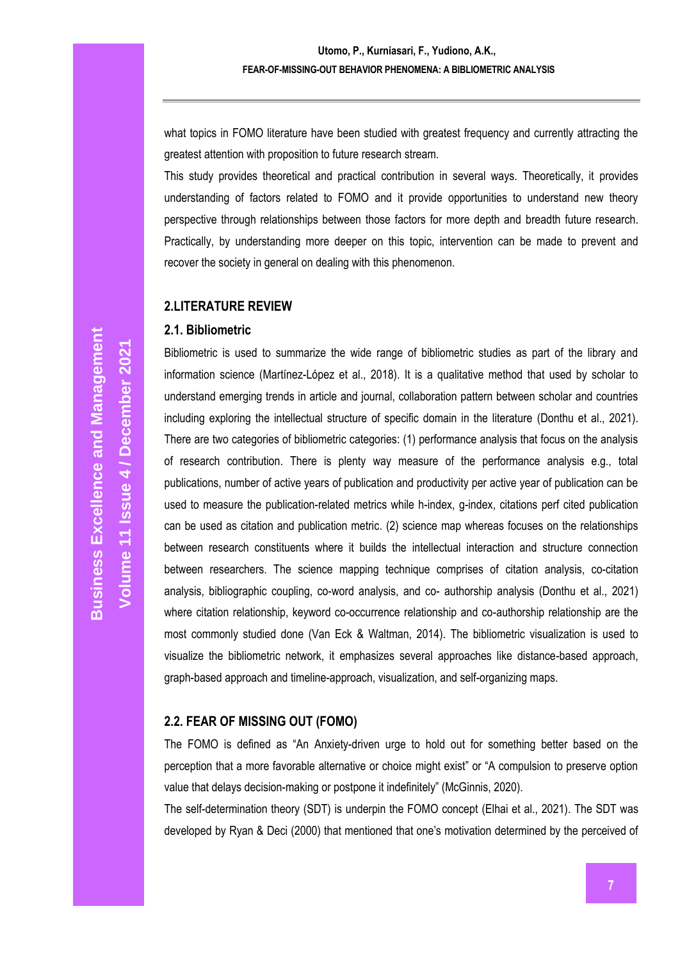what topics in FOMO literature have been studied with greatest frequency and currently attracting the greatest attention with proposition to future research stream.

This study provides theoretical and practical contribution in several ways. Theoretically, it provides understanding of factors related to FOMO and it provide opportunities to understand new theory perspective through relationships between those factors for more depth and breadth future research. Practically, by understanding more deeper on this topic, intervention can be made to prevent and recover the society in general on dealing with this phenomenon.

#### **2.LITERATURE REVIEW**

#### **2.1. Bibliometric**

Bibliometric is used to summarize the wide range of bibliometric studies as part of the library and information science (Martínez-López et al., 2018). It is a qualitative method that used by scholar to understand emerging trends in article and journal, collaboration pattern between scholar and countries including exploring the intellectual structure of specific domain in the literature (Donthu et al., 2021). There are two categories of bibliometric categories: (1) performance analysis that focus on the analysis of research contribution. There is plenty way measure of the performance analysis e.g., total publications, number of active years of publication and productivity per active year of publication can be used to measure the publication-related metrics while h-index, g-index, citations perf cited publication can be used as citation and publication metric. (2) science map whereas focuses on the relationships between research constituents where it builds the intellectual interaction and structure connection between researchers. The science mapping technique comprises of citation analysis, co-citation analysis, bibliographic coupling, co-word analysis, and co- authorship analysis (Donthu et al., 2021) where citation relationship, keyword co-occurrence relationship and co-authorship relationship are the most commonly studied done (Van Eck & Waltman, 2014). The bibliometric visualization is used to visualize the bibliometric network, it emphasizes several approaches like distance-based approach, graph-based approach and timeline-approach, visualization, and self-organizing maps.

## **2.2. FEAR OF MISSING OUT (FOMO)**

The FOMO is defined as "An Anxiety-driven urge to hold out for something better based on the perception that a more favorable alternative or choice might exist" or "A compulsion to preserve option value that delays decision-making or postpone it indefinitely" (McGinnis, 2020).

The self-determination theory (SDT) is underpin the FOMO concept (Elhai et al., 2021). The SDT was developed by Ryan & Deci (2000) that mentioned that one's motivation determined by the perceived of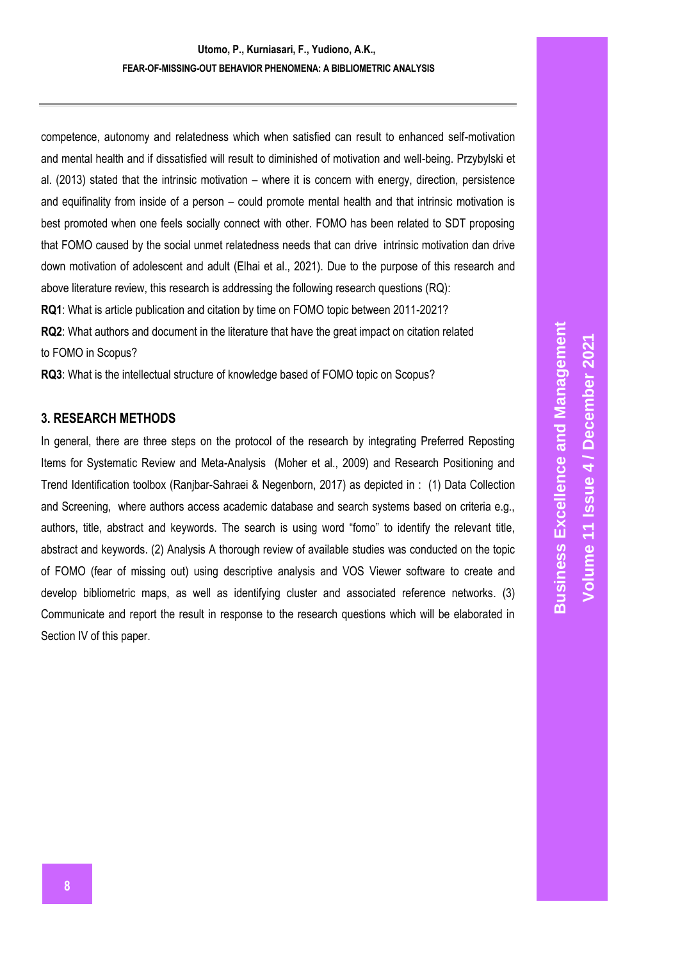competence, autonomy and relatedness which when satisfied can result to enhanced self-motivation and mental health and if dissatisfied will result to diminished of motivation and well-being. Przybylski et al. (2013) stated that the intrinsic motivation – where it is concern with energy, direction, persistence and equifinality from inside of a person – could promote mental health and that intrinsic motivation is best promoted when one feels socially connect with other. FOMO has been related to SDT proposing that FOMO caused by the social unmet relatedness needs that can drive intrinsic motivation dan drive down motivation of adolescent and adult (Elhai et al., 2021). Due to the purpose of this research and above literature review, this research is addressing the following research questions (RQ): **RQ1**: What is article publication and citation by time on FOMO topic between 2011-2021?

**RQ2**: What authors and document in the literature that have the great impact on citation related to FOMO in Scopus?

**RQ3**: What is the intellectual structure of knowledge based of FOMO topic on Scopus?

## **3. RESEARCH METHODS**

In general, there are three steps on the protocol of the research by integrating Preferred Reposting Items for Systematic Review and Meta-Analysis (Moher et al., 2009) and Research Positioning and Trend Identification toolbox (Ranjbar-Sahraei & Negenborn, 2017) as depicted in : (1) Data Collection and Screening, where authors access academic database and search systems based on criteria e.g., authors, title, abstract and keywords. The search is using word "fomo" to identify the relevant title, abstract and keywords. (2) Analysis A thorough review of available studies was conducted on the topic of FOMO (fear of missing out) using descriptive analysis and VOS Viewer software to create and develop bibliometric maps, as well as identifying cluster and associated reference networks. (3) Communicate and report the result in response to the research questions which will be elaborated in Section IV of this paper.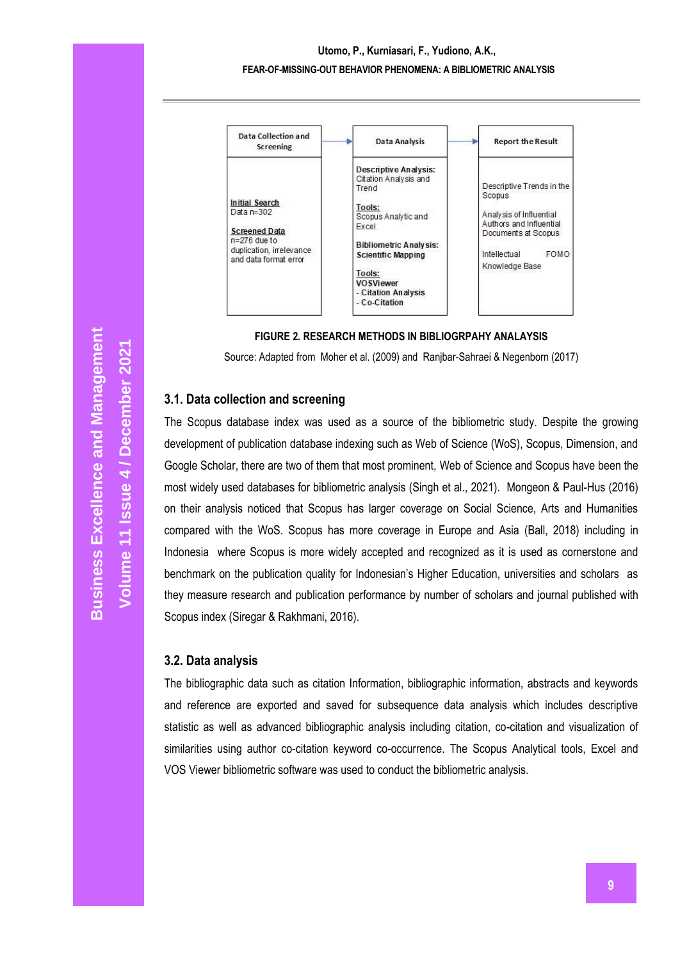## **Utomo, P., Kurniasari, F., Yudiono, A.K., FEAR-OF-MISSING-OUT BEHAVIOR PHENOMENA: A BIBLIOMETRIC ANALYSIS**



#### **FIGURE 2***.* **RESEARCH METHODS IN BIBLIOGRPAHY ANALAYSIS**

<span id="page-4-0"></span>Source: Adapted from Moher et al. (2009) and Ranjbar-Sahraei & Negenborn (2017)

#### **3.1. Data collection and screening**

The Scopus database index was used as a source of the bibliometric study. Despite the growing development of publication database indexing such as Web of Science (WoS), Scopus, Dimension, and Google Scholar, there are two of them that most prominent, Web of Science and Scopus have been the most widely used databases for bibliometric analysis (Singh et al., 2021). Mongeon & Paul-Hus (2016) on their analysis noticed that Scopus has larger coverage on Social Science, Arts and Humanities compared with the WoS. Scopus has more coverage in Europe and Asia (Ball, 2018) including in Indonesia where Scopus is more widely accepted and recognized as it is used as cornerstone and benchmark on the publication quality for Indonesian's Higher Education, universities and scholars as they measure research and publication performance by number of scholars and journal published with Scopus index (Siregar & Rakhmani, 2016).

#### **3.2. Data analysis**

The bibliographic data such as citation Information, bibliographic information, abstracts and keywords and reference are exported and saved for subsequence data analysis which includes descriptive statistic as well as advanced bibliographic analysis including citation, co-citation and visualization of similarities using author co-citation keyword co-occurrence. The Scopus Analytical tools, Excel and VOS Viewer bibliometric software was used to conduct the bibliometric analysis.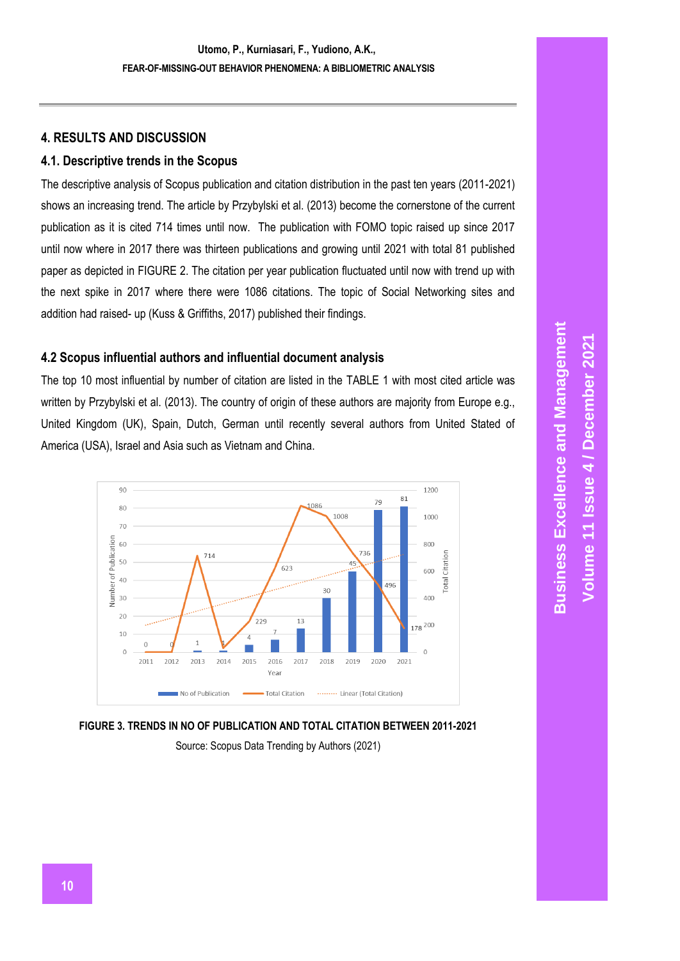## **4. RESULTS AND DISCUSSION**

## **4.1. Descriptive trends in the Scopus**

The descriptive analysis of Scopus publication and citation distribution in the past ten years (2011-2021) shows an increasing trend. The article by Przybylski et al. (2013) become the cornerstone of the current publication as it is cited 714 times until now. The publication with FOMO topic raised up since 2017 until now where in 2017 there was thirteen publications and growing until 2021 with total 81 published paper as depicted in [FIGURE](#page-4-0) 2. The citation per year publication fluctuated until now with trend up with the next spike in 2017 where there were 1086 citations. The topic of Social Networking sites and addition had raised- up (Kuss & Griffiths, 2017) published their findings.

## **4.2 Scopus influential authors and influential document analysis**

The top 10 most influential by number of citation are listed in the [TABLE](#page-6-0) 1 with most cited article was written by Przybylski et al. (2013). The country of origin of these authors are majority from Europe e.g., United Kingdom (UK), Spain, Dutch, German until recently several authors from United Stated of America (USA), Israel and Asia such as Vietnam and China.



<span id="page-5-0"></span>

Source: Scopus Data Trending by Authors (2021)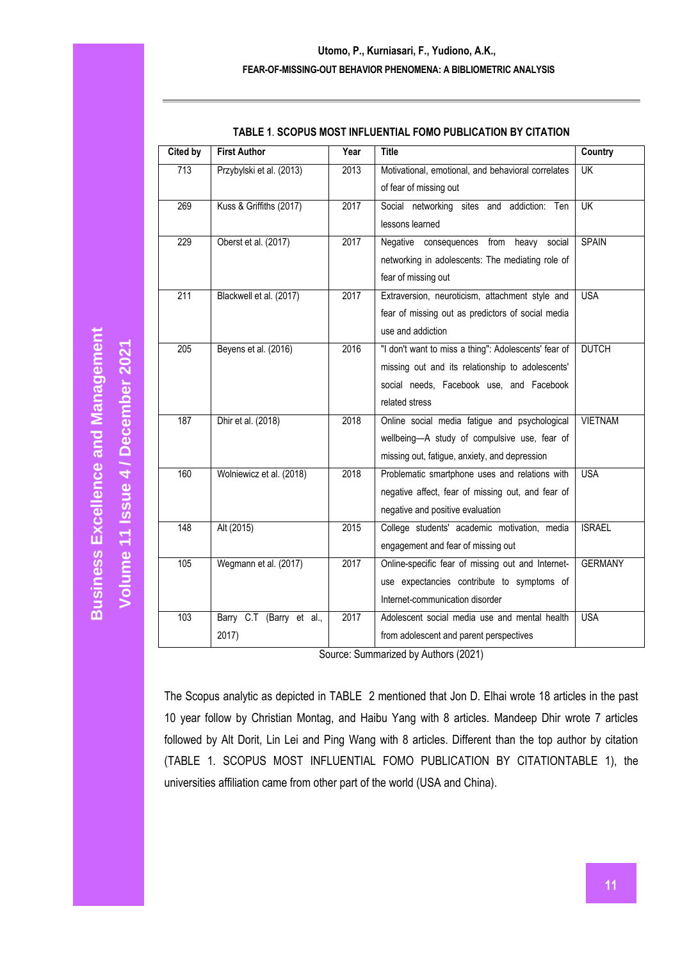<span id="page-6-0"></span>

| <b>Cited by</b>  | <b>First Author</b>      | Year | <b>Title</b>                                                         | <b>Country</b> |
|------------------|--------------------------|------|----------------------------------------------------------------------|----------------|
| 713              | Przybylski et al. (2013) | 2013 | Motivational, emotional, and behavioral correlates                   | <b>UK</b>      |
|                  |                          |      | of fear of missing out                                               |                |
| 269              | Kuss & Griffiths (2017)  | 2017 | Social networking sites and addiction: Ten                           | <b>UK</b>      |
|                  |                          |      | lessons learned                                                      |                |
| 229              | Oberst et al. (2017)     | 2017 | Negative consequences from heavy social                              | <b>SPAIN</b>   |
|                  |                          |      | networking in adolescents: The mediating role of                     |                |
|                  |                          |      | fear of missing out                                                  |                |
| 211              | Blackwell et al. (2017)  | 2017 | Extraversion, neuroticism, attachment style and                      | <b>USA</b>     |
|                  |                          |      | fear of missing out as predictors of social media                    |                |
|                  |                          |      | use and addiction                                                    |                |
| $\overline{205}$ | Beyens et al. (2016)     | 2016 | "I don't want to miss a thing": Adolescents' fear of                 | <b>DUTCH</b>   |
|                  |                          |      | missing out and its relationship to adolescents'                     |                |
|                  |                          |      | social needs, Facebook use, and Facebook                             |                |
|                  |                          |      | related stress                                                       |                |
| 187              | Dhir et al. (2018)       | 2018 | Online social media fatigue and psychological                        | <b>VIETNAM</b> |
|                  |                          |      | wellbeing-A study of compulsive use, fear of                         |                |
|                  |                          |      | missing out, fatigue, anxiety, and depression                        |                |
| 160              | Wolniewicz et al. (2018) | 2018 | Problematic smartphone uses and relations with                       | <b>USA</b>     |
|                  |                          |      | negative affect, fear of missing out, and fear of                    |                |
|                  |                          |      | negative and positive evaluation                                     |                |
| 148              | Alt (2015)               | 2015 | College students' academic motivation, media                         | <b>ISRAEL</b>  |
|                  |                          |      | engagement and fear of missing out                                   |                |
| 105              | Wegmann et al. (2017)    | 2017 | Online-specific fear of missing out and Internet-                    | <b>GERMANY</b> |
|                  |                          |      | use expectancies contribute to symptoms of                           |                |
|                  |                          |      | Internet-communication disorder                                      |                |
| 103              | Barry C.T (Barry et al., | 2017 | Adolescent social media use and mental health                        | <b>USA</b>     |
|                  | 2017)                    |      | from adolescent and parent perspectives<br>$11.41 \cdot 11.1$ (0004) |                |

#### **TABLE 1***.* **SCOPUS MOST INFLUENTIAL FOMO PUBLICATION BY CITATION**

Source: Summarized by Authors (2021)

The Scopus analytic as depicted in [TABLE 2](#page-7-0) mentioned that Jon D. Elhai wrote 18 articles in the past 10 year follow by Christian Montag, and Haibu Yang with 8 articles. Mandeep Dhir wrote 7 articles followed by Alt Dorit, Lin Lei and Ping Wang with 8 articles. Different than the top author by citation (TABLE 1*.* [SCOPUS MOST INFLUENTIAL FOMO PUBLICATION BY CITATIONTABLE](#page-6-0) 1), the universities affiliation came from other part of the world (USA and China).

**Business Excellence and Management Business Excellence and Management** Volume 11 Issue 4 / December 2021 **/ December 2021 Volume 11 Issue**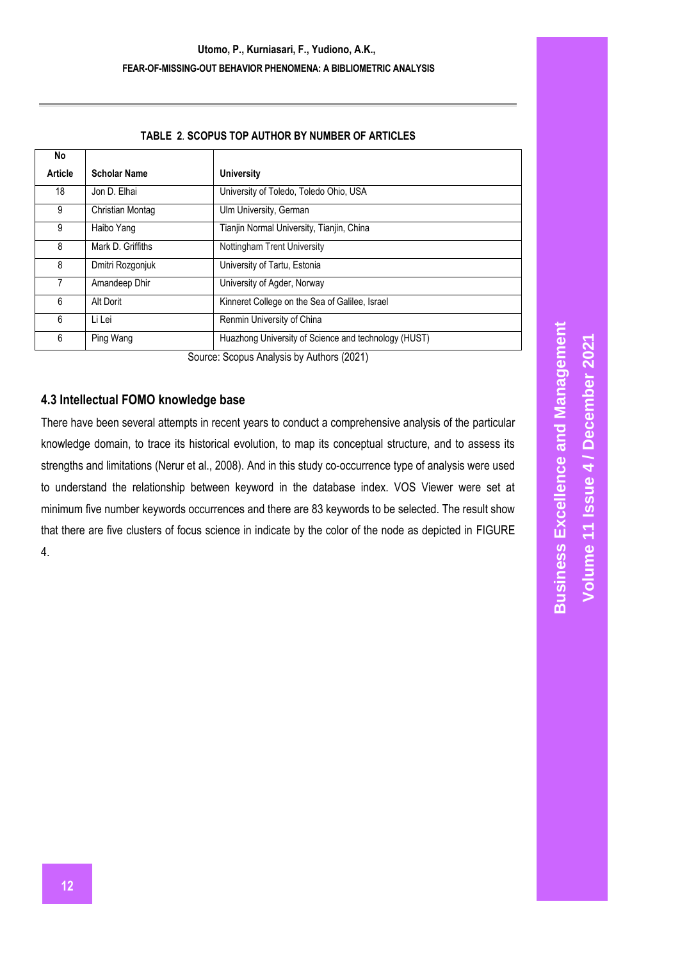#### **TABLE 2***.* **SCOPUS TOP AUTHOR BY NUMBER OF ARTICLES**

<span id="page-7-0"></span>

| No                                        |                     |                                                      |  |  |
|-------------------------------------------|---------------------|------------------------------------------------------|--|--|
| Article                                   | <b>Scholar Name</b> | <b>University</b>                                    |  |  |
| 18                                        | Jon D. Elhai        | University of Toledo, Toledo Ohio, USA               |  |  |
| 9                                         | Christian Montag    | Ulm University, German                               |  |  |
| 9                                         | Haibo Yang          | Tianjin Normal University, Tianjin, China            |  |  |
| 8                                         | Mark D. Griffiths   | Nottingham Trent University                          |  |  |
| 8                                         | Dmitri Rozgonjuk    | University of Tartu, Estonia                         |  |  |
|                                           | Amandeep Dhir       | University of Agder, Norway                          |  |  |
| 6                                         | Alt Dorit           | Kinneret College on the Sea of Galilee, Israel       |  |  |
| 6                                         | Li Lei              | Renmin University of China                           |  |  |
| 6                                         | Ping Wang           | Huazhong University of Science and technology (HUST) |  |  |
| Source: Scopus Analysis by Authors (2021) |                     |                                                      |  |  |

Source: Scopus Analysis by Authors (2021)

## **4.3 Intellectual FOMO knowledge base**

There have been several attempts in recent years to conduct a comprehensive analysis of the particular knowledge domain, to trace its historical evolution, to map its conceptual structure, and to assess its strengths and limitations (Nerur et al., 2008). And in this study co-occurrence type of analysis were used to understand the relationship between keyword in the database index. VOS Viewer were set at minimum five number keywords occurrences and there are 83 keywords to be selected. The result show that there are five clusters of focus science in indicate by the color of the node as depicted in [FIGURE](#page-8-0)  [4.](#page-8-0)

**Business Excellence and Management Business Excellence and Management Volume 11 Issue 4 / December 2021 / December 2021 Volume 11 Issue**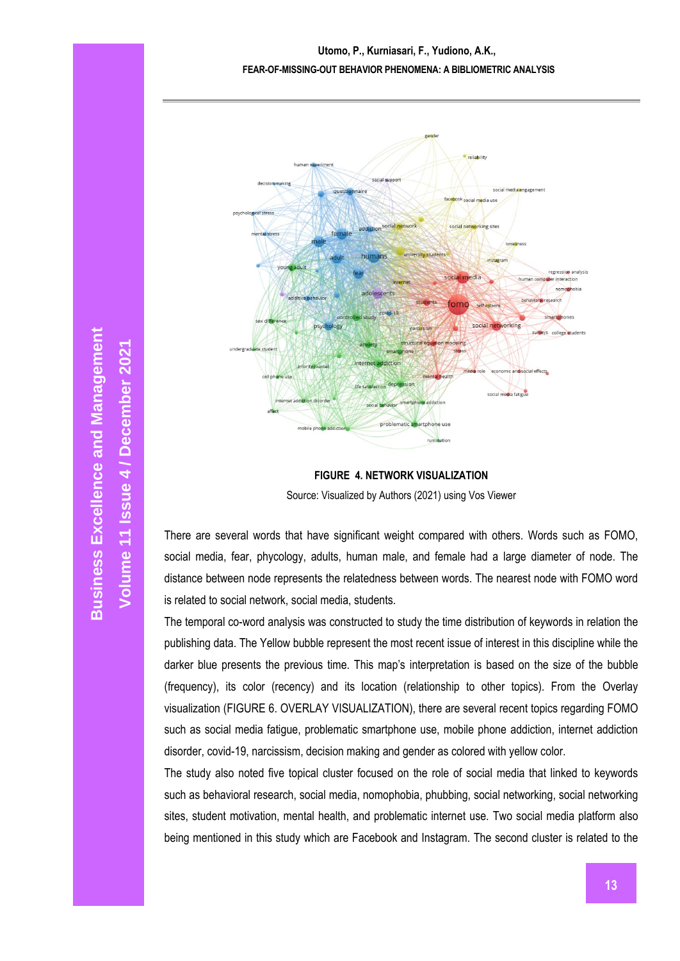

**FIGURE 4. NETWORK VISUALIZATION** Source: Visualized by Authors (2021) using Vos Viewer

<span id="page-8-0"></span>There are several words that have significant weight compared with others. Words such as FOMO, social media, fear, phycology, adults, human male, and female had a large diameter of node. The distance between node represents the relatedness between words. The nearest node with FOMO word is related to social network, social media, students.

The temporal co-word analysis was constructed to study the time distribution of keywords in relation the publishing data. The Yellow bubble represent the most recent issue of interest in this discipline while the darker blue presents the previous time. This map's interpretation is based on the size of the bubble (frequency), its color (recency) and its location (relationship to other topics). From the Overlay visualization (FIGURE 6. [OVERLAY VISUALIZATION\)](#page-10-0), there are several recent topics regarding FOMO such as social media fatigue, problematic smartphone use, mobile phone addiction, internet addiction disorder, covid-19, narcissism, decision making and gender as colored with yellow color.

The study also noted five topical cluster focused on the role of social media that linked to keywords such as behavioral research, social media, nomophobia, phubbing, social networking, social networking sites, student motivation, mental health, and problematic internet use. Two social media platform also being mentioned in this study which are Facebook and Instagram. The second cluster is related to the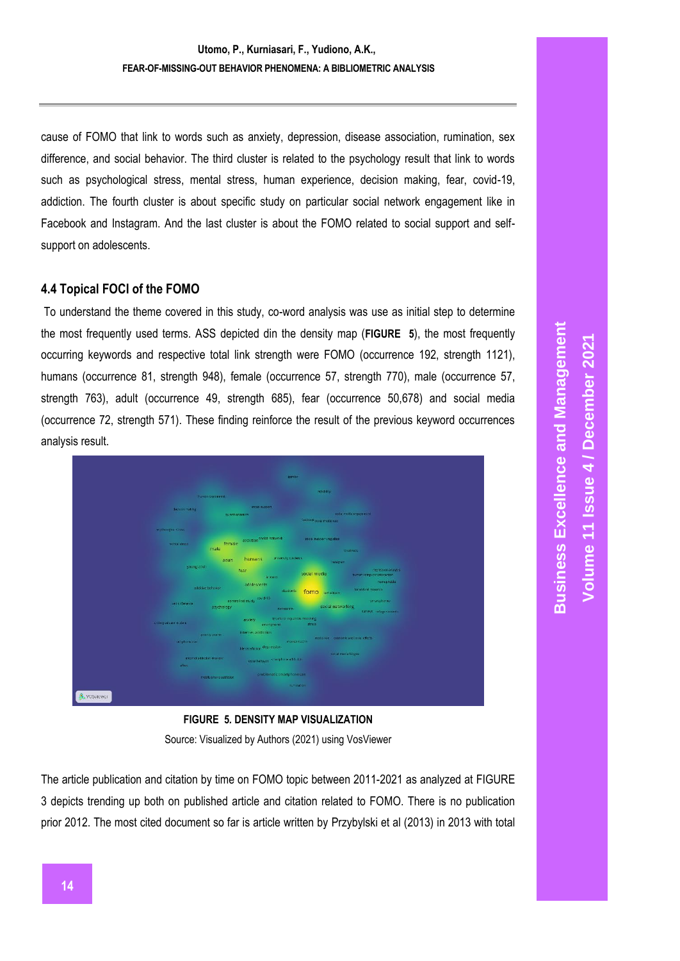cause of FOMO that link to words such as anxiety, depression, disease association, rumination, sex difference, and social behavior. The third cluster is related to the psychology result that link to words such as psychological stress, mental stress, human experience, decision making, fear, covid-19, addiction. The fourth cluster is about specific study on particular social network engagement like in Facebook and Instagram. And the last cluster is about the FOMO related to social support and selfsupport on adolescents.

## **4.4 Topical FOCI of the FOMO**

To understand the theme covered in this study, co-word analysis was use as initial step to determine the most frequently used terms. ASS depicted din the density map (**[FIGURE 5](#page-9-0)**), the most frequently occurring keywords and respective total link strength were FOMO (occurrence 192, strength 1121), humans (occurrence 81, strength 948), female (occurrence 57, strength 770), male (occurrence 57, strength 763), adult (occurrence 49, strength 685), fear (occurrence 50,678) and social media (occurrence 72, strength 571). These finding reinforce the result of the previous keyword occurrences analysis result.



**FIGURE 5***.* **DENSITY MAP VISUALIZATION**

Source: Visualized by Authors (2021) using VosViewer

<span id="page-9-0"></span>The article publication and citation by time on FOMO topic between 2011-2021 as analyzed at [FIGURE](#page-5-0) [3](#page-5-0) depicts trending up both on published article and citation related to FOMO. There is no publication prior 2012. The most cited document so far is article written by Przybylski et al (2013) in 2013 with total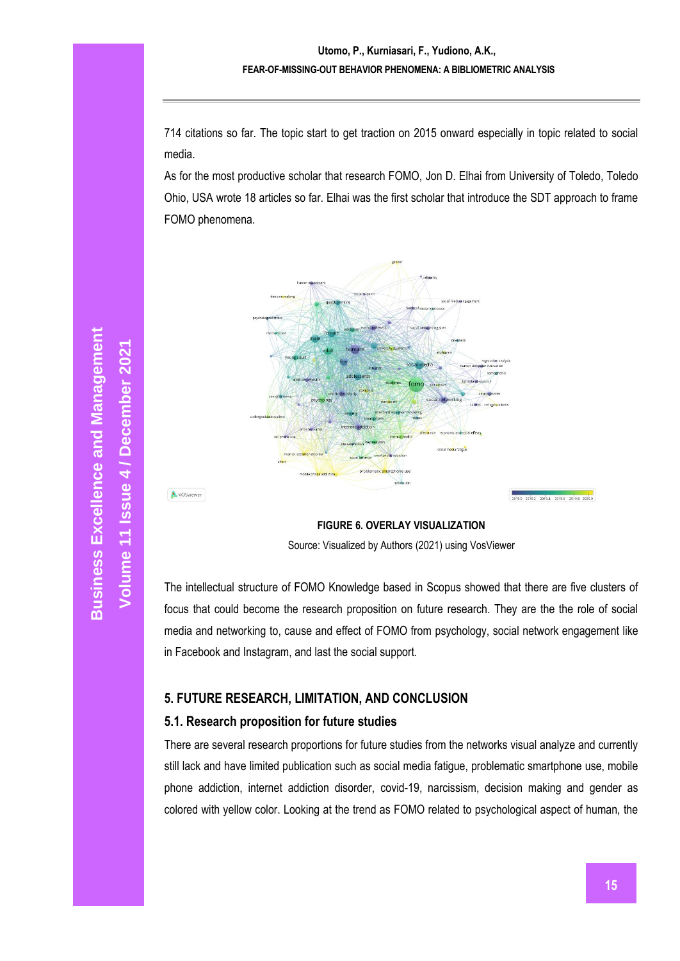714 citations so far. The topic start to get traction on 2015 onward especially in topic related to social media.

As for the most productive scholar that research FOMO, Jon D. Elhai from University of Toledo, Toledo Ohio, USA wrote 18 articles so far. Elhai was the first scholar that introduce the SDT approach to frame FOMO phenomena.



**FIGURE 6. OVERLAY VISUALIZATION** Source: Visualized by Authors (2021) using VosViewer

<span id="page-10-0"></span>The intellectual structure of FOMO Knowledge based in Scopus showed that there are five clusters of focus that could become the research proposition on future research. They are the the role of social media and networking to, cause and effect of FOMO from psychology, social network engagement like in Facebook and Instagram, and last the social support.

## **5. FUTURE RESEARCH, LIMITATION, AND CONCLUSION**

## **5.1. Research proposition for future studies**

There are several research proportions for future studies from the networks visual analyze and currently still lack and have limited publication such as social media fatigue, problematic smartphone use, mobile phone addiction, internet addiction disorder, covid-19, narcissism, decision making and gender as colored with yellow color. Looking at the trend as FOMO related to psychological aspect of human, the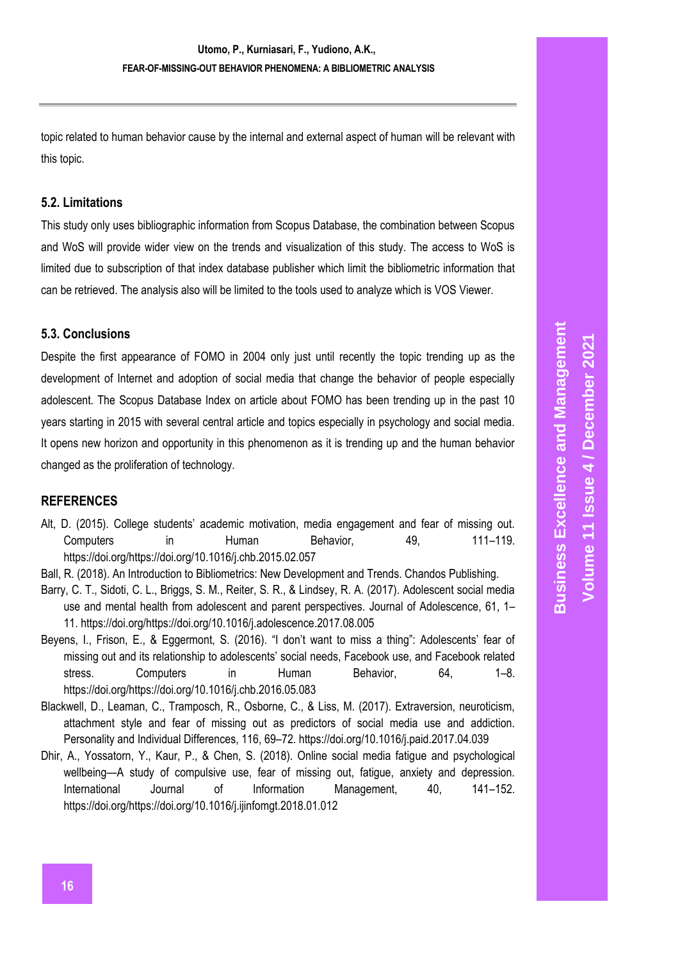topic related to human behavior cause by the internal and external aspect of human will be relevant with this topic.

## **5.2. Limitations**

This study only uses bibliographic information from Scopus Database, the combination between Scopus and WoS will provide wider view on the trends and visualization of this study. The access to WoS is limited due to subscription of that index database publisher which limit the bibliometric information that can be retrieved. The analysis also will be limited to the tools used to analyze which is VOS Viewer.

## **5.3. Conclusions**

Despite the first appearance of FOMO in 2004 only just until recently the topic trending up as the development of Internet and adoption of social media that change the behavior of people especially adolescent. The Scopus Database Index on article about FOMO has been trending up in the past 10 years starting in 2015 with several central article and topics especially in psychology and social media. It opens new horizon and opportunity in this phenomenon as it is trending up and the human behavior changed as the proliferation of technology.

## **REFERENCES**

- Alt, D. (2015). College students' academic motivation, media engagement and fear of missing out. Computers in Human Behavior, 49, 111–119. https://doi.org/https://doi.org/10.1016/j.chb.2015.02.057
- Ball, R. (2018). An Introduction to Bibliometrics: New Development and Trends. Chandos Publishing.
- Barry, C. T., Sidoti, C. L., Briggs, S. M., Reiter, S. R., & Lindsey, R. A. (2017). Adolescent social media use and mental health from adolescent and parent perspectives. Journal of Adolescence, 61, 1– 11. https://doi.org/https://doi.org/10.1016/j.adolescence.2017.08.005
- Beyens, I., Frison, E., & Eggermont, S. (2016). "I don't want to miss a thing": Adolescents' fear of missing out and its relationship to adolescents' social needs, Facebook use, and Facebook related stress. Computers in Human Behavior, 64, 1–8. https://doi.org/https://doi.org/10.1016/j.chb.2016.05.083
- Blackwell, D., Leaman, C., Tramposch, R., Osborne, C., & Liss, M. (2017). Extraversion, neuroticism, attachment style and fear of missing out as predictors of social media use and addiction. Personality and Individual Differences, 116, 69–72. https://doi.org/10.1016/j.paid.2017.04.039
- Dhir, A., Yossatorn, Y., Kaur, P., & Chen, S. (2018). Online social media fatigue and psychological wellbeing—A study of compulsive use, fear of missing out, fatigue, anxiety and depression. International Journal of Information Management, 40, 141–152. https://doi.org/https://doi.org/10.1016/j.ijinfomgt.2018.01.012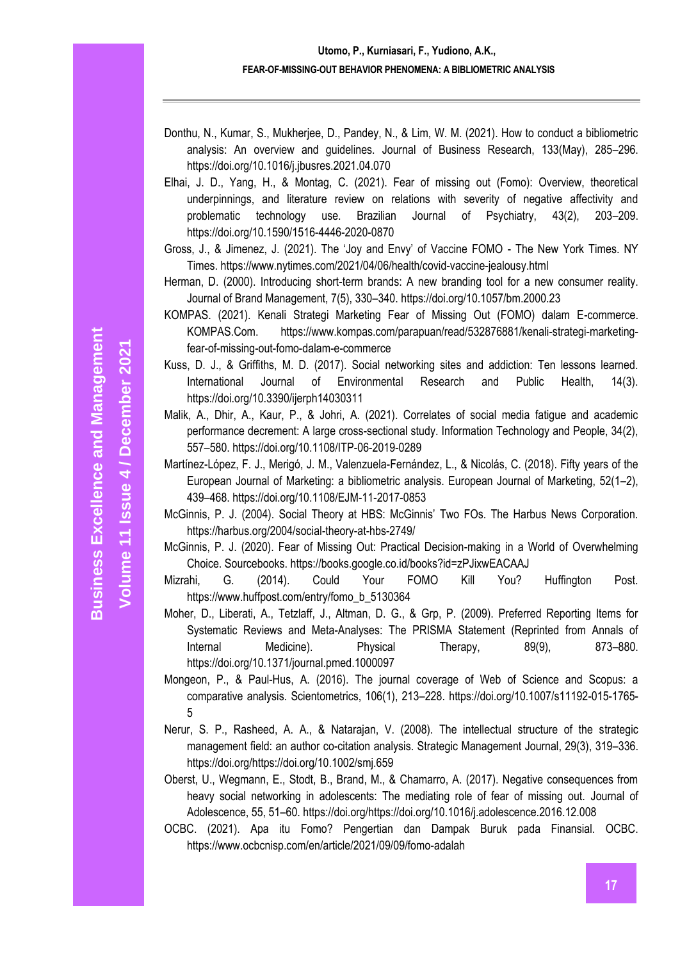- Elhai, J. D., Yang, H., & Montag, C. (2021). Fear of missing out (Fomo): Overview, theoretical underpinnings, and literature review on relations with severity of negative affectivity and problematic technology use. Brazilian Journal of Psychiatry, 43(2), 203–209. https://doi.org/10.1590/1516-4446-2020-0870
- Gross, J., & Jimenez, J. (2021). The 'Joy and Envy' of Vaccine FOMO The New York Times. NY Times. https://www.nytimes.com/2021/04/06/health/covid-vaccine-jealousy.html
- Herman, D. (2000). Introducing short-term brands: A new branding tool for a new consumer reality. Journal of Brand Management, 7(5), 330–340. https://doi.org/10.1057/bm.2000.23
- KOMPAS. (2021). Kenali Strategi Marketing Fear of Missing Out (FOMO) dalam E-commerce. KOMPAS.Com. https://www.kompas.com/parapuan/read/532876881/kenali-strategi-marketingfear-of-missing-out-fomo-dalam-e-commerce
- Kuss, D. J., & Griffiths, M. D. (2017). Social networking sites and addiction: Ten lessons learned. International Journal of Environmental Research and Public Health, 14(3). https://doi.org/10.3390/ijerph14030311
- Malik, A., Dhir, A., Kaur, P., & Johri, A. (2021). Correlates of social media fatigue and academic performance decrement: A large cross-sectional study. Information Technology and People, 34(2), 557–580. https://doi.org/10.1108/ITP-06-2019-0289
- Martínez-López, F. J., Merigó, J. M., Valenzuela-Fernández, L., & Nicolás, C. (2018). Fifty years of the European Journal of Marketing: a bibliometric analysis. European Journal of Marketing, 52(1–2), 439–468. https://doi.org/10.1108/EJM-11-2017-0853
- McGinnis, P. J. (2004). Social Theory at HBS: McGinnis' Two FOs. The Harbus News Corporation. https://harbus.org/2004/social-theory-at-hbs-2749/
- McGinnis, P. J. (2020). Fear of Missing Out: Practical Decision-making in a World of Overwhelming Choice. Sourcebooks. https://books.google.co.id/books?id=zPJixwEACAAJ
- Mizrahi, G. (2014). Could Your FOMO Kill You? Huffington Post. https://www.huffpost.com/entry/fomo\_b\_5130364
- Moher, D., Liberati, A., Tetzlaff, J., Altman, D. G., & Grp, P. (2009). Preferred Reporting Items for Systematic Reviews and Meta-Analyses: The PRISMA Statement (Reprinted from Annals of Internal Medicine). Physical Therapy, 89(9), 873–880. https://doi.org/10.1371/journal.pmed.1000097
- Mongeon, P., & Paul-Hus, A. (2016). The journal coverage of Web of Science and Scopus: a comparative analysis. Scientometrics, 106(1), 213–228. https://doi.org/10.1007/s11192-015-1765- 5
- Nerur, S. P., Rasheed, A. A., & Natarajan, V. (2008). The intellectual structure of the strategic management field: an author co-citation analysis. Strategic Management Journal, 29(3), 319–336. https://doi.org/https://doi.org/10.1002/smj.659
- Oberst, U., Wegmann, E., Stodt, B., Brand, M., & Chamarro, A. (2017). Negative consequences from heavy social networking in adolescents: The mediating role of fear of missing out. Journal of Adolescence, 55, 51–60. https://doi.org/https://doi.org/10.1016/j.adolescence.2016.12.008
- OCBC. (2021). Apa itu Fomo? Pengertian dan Dampak Buruk pada Finansial. OCBC. https://www.ocbcnisp.com/en/article/2021/09/09/fomo-adalah